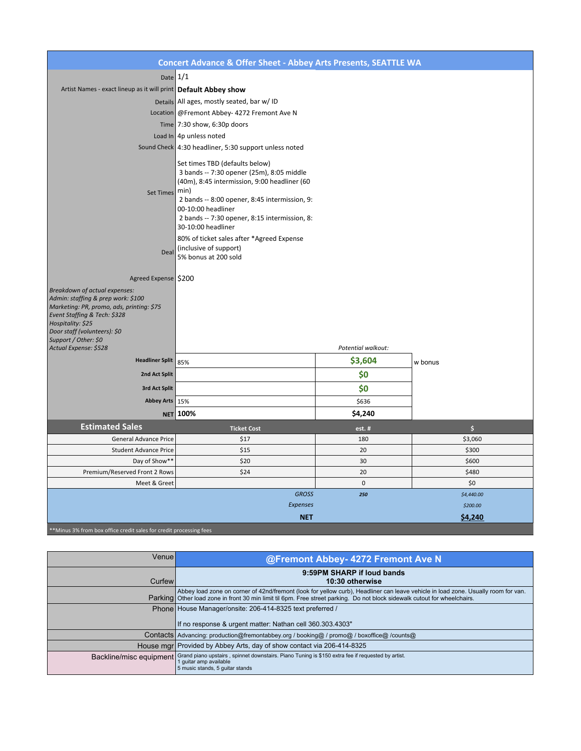| <b>Concert Advance &amp; Offer Sheet - Abbey Arts Presents, SEATTLE WA</b>                                                                                                                                                    |                                                                                                                                                                                                                                                                                   |                    |                     |  |
|-------------------------------------------------------------------------------------------------------------------------------------------------------------------------------------------------------------------------------|-----------------------------------------------------------------------------------------------------------------------------------------------------------------------------------------------------------------------------------------------------------------------------------|--------------------|---------------------|--|
| Date $1/1$                                                                                                                                                                                                                    |                                                                                                                                                                                                                                                                                   |                    |                     |  |
| Artist Names - exact lineup as it will print Default Abbey show                                                                                                                                                               |                                                                                                                                                                                                                                                                                   |                    |                     |  |
|                                                                                                                                                                                                                               | Details All ages, mostly seated, bar w/ ID                                                                                                                                                                                                                                        |                    |                     |  |
|                                                                                                                                                                                                                               | Location @ Fremont Abbey- 4272 Fremont Ave N                                                                                                                                                                                                                                      |                    |                     |  |
|                                                                                                                                                                                                                               | Time $ 7:30$ show, 6:30p doors                                                                                                                                                                                                                                                    |                    |                     |  |
|                                                                                                                                                                                                                               | Load In $4p$ unless noted                                                                                                                                                                                                                                                         |                    |                     |  |
|                                                                                                                                                                                                                               | Sound Check 4:30 headliner, 5:30 support unless noted                                                                                                                                                                                                                             |                    |                     |  |
| <b>Set Times</b>                                                                                                                                                                                                              | Set times TBD (defaults below)<br>3 bands -- 7:30 opener (25m), 8:05 middle<br>(40m), 8:45 intermission, 9:00 headliner (60<br>min)<br>2 bands -- 8:00 opener, 8:45 intermission, 9:<br>00-10:00 headliner<br>2 bands -- 7:30 opener, 8:15 intermission, 8:<br>30-10:00 headliner |                    |                     |  |
| Deal                                                                                                                                                                                                                          | 80% of ticket sales after *Agreed Expense<br>(inclusive of support)<br>5% bonus at 200 sold                                                                                                                                                                                       |                    |                     |  |
| Agreed Expense   \$200                                                                                                                                                                                                        |                                                                                                                                                                                                                                                                                   |                    |                     |  |
| Breakdown of actual expenses:<br>Admin: staffing & prep work: \$100<br>Marketing: PR, promo, ads, printing: \$75<br>Event Staffing & Tech: \$328<br>Hospitality: \$25<br>Door staff (volunteers): \$0<br>Support / Other: \$0 |                                                                                                                                                                                                                                                                                   |                    |                     |  |
| Actual Expense: \$528                                                                                                                                                                                                         |                                                                                                                                                                                                                                                                                   | Potential walkout: |                     |  |
| <b>Headliner Split</b>                                                                                                                                                                                                        | 85%                                                                                                                                                                                                                                                                               | \$3,604            | w bonus             |  |
| 2nd Act Split                                                                                                                                                                                                                 |                                                                                                                                                                                                                                                                                   | \$0                |                     |  |
| 3rd Act Split                                                                                                                                                                                                                 |                                                                                                                                                                                                                                                                                   | \$0                |                     |  |
| Abbey Arts 15%                                                                                                                                                                                                                |                                                                                                                                                                                                                                                                                   | \$636              |                     |  |
| <b>NET</b>                                                                                                                                                                                                                    | 100%                                                                                                                                                                                                                                                                              | \$4,240            |                     |  |
| <b>Estimated Sales</b>                                                                                                                                                                                                        | <b>Ticket Cost</b>                                                                                                                                                                                                                                                                | est.#              | $\ddot{\mathsf{s}}$ |  |
| <b>General Advance Price</b>                                                                                                                                                                                                  | \$17                                                                                                                                                                                                                                                                              | 180                | \$3,060             |  |
| <b>Student Advance Price</b>                                                                                                                                                                                                  | \$15                                                                                                                                                                                                                                                                              | 20                 | \$300               |  |
| Day of Show**                                                                                                                                                                                                                 | \$20                                                                                                                                                                                                                                                                              | 30                 | \$600               |  |
| Premium/Reserved Front 2 Rows                                                                                                                                                                                                 | \$24                                                                                                                                                                                                                                                                              | 20                 | \$480               |  |
| Meet & Greet                                                                                                                                                                                                                  |                                                                                                                                                                                                                                                                                   | $\pmb{0}$          | \$0                 |  |
|                                                                                                                                                                                                                               | <b>GROSS</b>                                                                                                                                                                                                                                                                      | 250                | \$4,440.00          |  |
|                                                                                                                                                                                                                               | <b>Expenses</b>                                                                                                                                                                                                                                                                   |                    | \$200.00            |  |
| ** Minus 3% from box office credit sales for credit processing fees                                                                                                                                                           | <b>NET</b>                                                                                                                                                                                                                                                                        |                    | \$4,240             |  |

| Venue  | @Fremont Abbey- 4272 Fremont Ave N                                                                                                                                                                                                                             |  |
|--------|----------------------------------------------------------------------------------------------------------------------------------------------------------------------------------------------------------------------------------------------------------------|--|
| Curfew | 9:59PM SHARP if loud bands<br>10:30 otherwise                                                                                                                                                                                                                  |  |
|        | Abbey load zone on corner of 42nd/fremont (look for yellow curb), Headliner can leave vehicle in load zone. Usually room for van.<br>Parking Other load zone in front 30 min limit til 6pm. Free street parking. Do not block sidewalk cutout for wheelchairs. |  |
|        | Phone House Manager/onsite: 206-414-8325 text preferred /                                                                                                                                                                                                      |  |
|        | If no response & urgent matter: Nathan cell 360.303.4303"                                                                                                                                                                                                      |  |
|        | Contacts   Advancing: production@fremontabbey.org / booking@ / promo@ / boxoffice@ /counts@                                                                                                                                                                    |  |
|        | House mgr   Provided by Abbey Arts, day of show contact via 206-414-8325                                                                                                                                                                                       |  |
|        | Backline/misc equipment Grand piano upstairs, spinnet downstairs. Piano Tuning is \$150 extra fee if requested by artist.<br>1 quitar amp available<br>5 music stands, 5 quitar stands                                                                         |  |